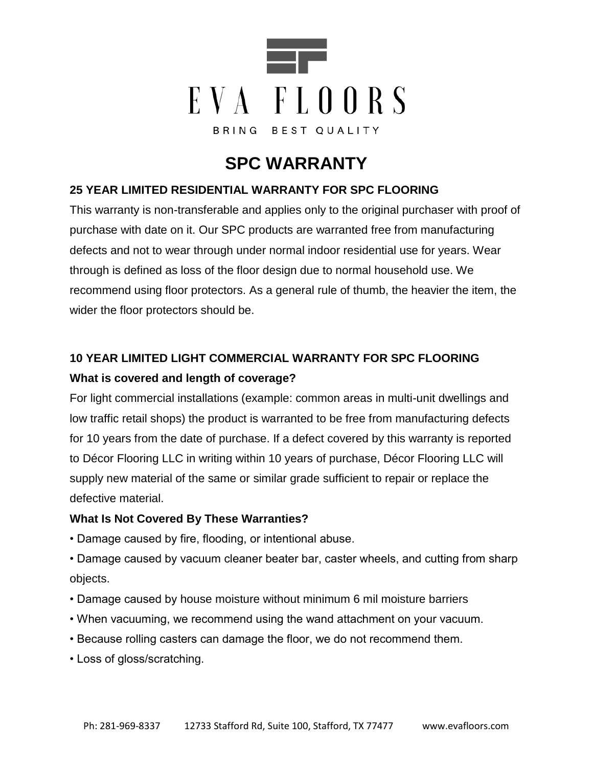

# **SPC WARRANTY**

### **25 YEAR LIMITED RESIDENTIAL WARRANTY FOR SPC FLOORING**

This warranty is non-transferable and applies only to the original purchaser with proof of purchase with date on it. Our SPC products are warranted free from manufacturing defects and not to wear through under normal indoor residential use for years. Wear through is defined as loss of the floor design due to normal household use. We recommend using floor protectors. As a general rule of thumb, the heavier the item, the wider the floor protectors should be.

# **10 YEAR LIMITED LIGHT COMMERCIAL WARRANTY FOR SPC FLOORING What is covered and length of coverage?**

For light commercial installations (example: common areas in multi-unit dwellings and low traffic retail shops) the product is warranted to be free from manufacturing defects for 10 years from the date of purchase. If a defect covered by this warranty is reported to Décor Flooring LLC in writing within 10 years of purchase, Décor Flooring LLC will supply new material of the same or similar grade sufficient to repair or replace the defective material.

#### **What Is Not Covered By These Warranties?**

- Damage caused by fire, flooding, or intentional abuse.
- Damage caused by vacuum cleaner beater bar, caster wheels, and cutting from sharp objects.
- Damage caused by house moisture without minimum 6 mil moisture barriers
- When vacuuming, we recommend using the wand attachment on your vacuum.
- Because rolling casters can damage the floor, we do not recommend them.
- Loss of gloss/scratching.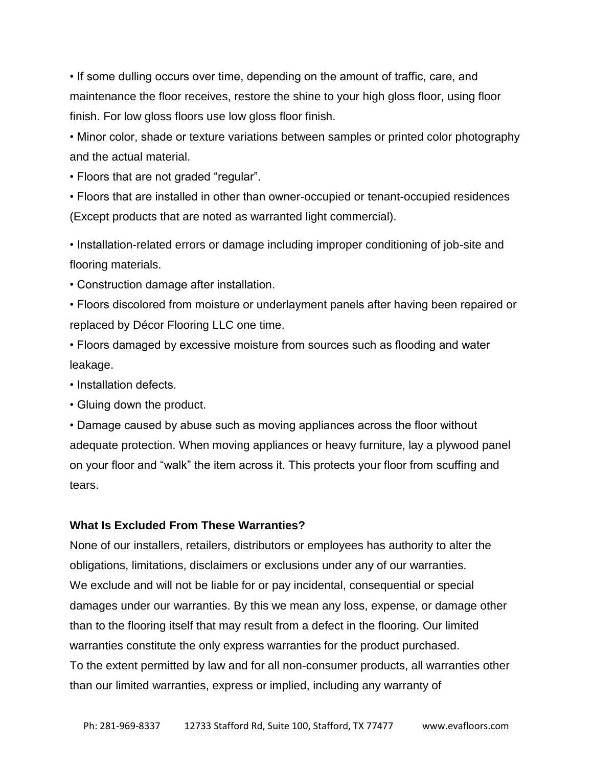• If some dulling occurs over time, depending on the amount of traffic, care, and maintenance the floor receives, restore the shine to your high gloss floor, using floor finish. For low gloss floors use low gloss floor finish.

• Minor color, shade or texture variations between samples or printed color photography and the actual material.

• Floors that are not graded "regular".

• Floors that are installed in other than owner-occupied or tenant-occupied residences (Except products that are noted as warranted light commercial).

• Installation-related errors or damage including improper conditioning of job-site and flooring materials.

• Construction damage after installation.

• Floors discolored from moisture or underlayment panels after having been repaired or replaced by Décor Flooring LLC one time.

• Floors damaged by excessive moisture from sources such as flooding and water leakage.

• Installation defects.

• Gluing down the product.

• Damage caused by abuse such as moving appliances across the floor without adequate protection. When moving appliances or heavy furniture, lay a plywood panel on your floor and "walk" the item across it. This protects your floor from scuffing and tears.

#### **What Is Excluded From These Warranties?**

None of our installers, retailers, distributors or employees has authority to alter the obligations, limitations, disclaimers or exclusions under any of our warranties. We exclude and will not be liable for or pay incidental, consequential or special damages under our warranties. By this we mean any loss, expense, or damage other than to the flooring itself that may result from a defect in the flooring. Our limited warranties constitute the only express warranties for the product purchased. To the extent permitted by law and for all non-consumer products, all warranties other than our limited warranties, express or implied, including any warranty of